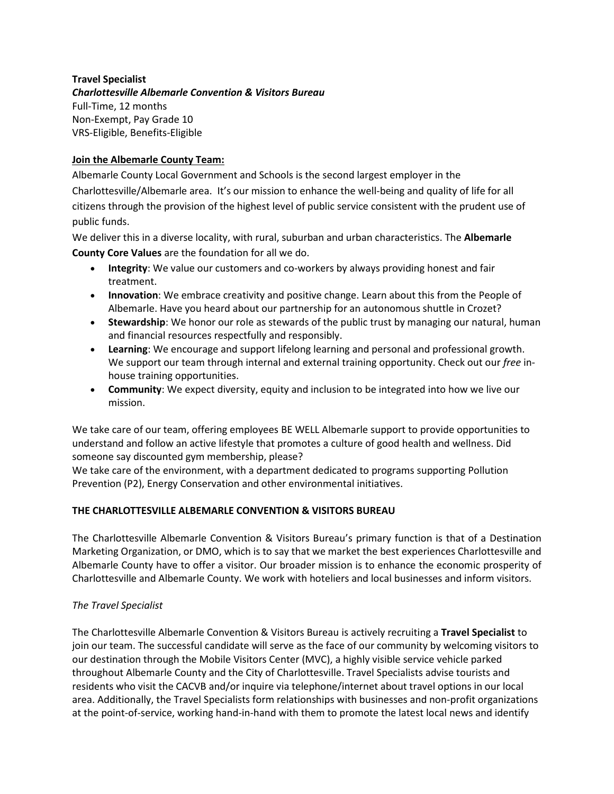### **Travel Specialist**

*Charlottesville Albemarle Convention & Visitors Bureau* Full-Time, 12 months Non-Exempt, Pay Grade 10 VRS-Eligible, Benefits-Eligible

## **Join the Albemarle County Team:**

Albemarle County Local Government and Schools is the second largest employer in the Charlottesville/Albemarle area. It's our mission to enhance the well-being and quality of life for all citizens through the provision of the highest level of public service consistent with the prudent use of public funds.

We deliver this in a diverse locality, with rural, suburban and urban characteristics. The **Albemarle County Core Values** are the foundation for all we do.

- **Integrity**: We value our customers and co-workers by always providing honest and fair treatment.
- **Innovation**: We embrace creativity and positive change. Learn about this from the People of Albemarle. Have you heard about our partnership for an autonomous shuttle in Crozet?
- **Stewardship**: We honor our role as stewards of the public trust by managing our natural, human and financial resources respectfully and responsibly.
- **Learning**: We encourage and support lifelong learning and personal and professional growth. We support our team through internal and external training opportunity. Check out our *free* inhouse training opportunities.
- **Community**: We expect diversity, equity and inclusion to be integrated into how we live our mission.

We take care of our team, offering employees BE WELL Albemarle support to provide opportunities to understand and follow an active lifestyle that promotes a culture of good health and wellness. Did someone say discounted gym membership, please?

We take care of the environment, with a department dedicated to programs supporting Pollution Prevention (P2), Energy Conservation and other environmental initiatives.

# **THE CHARLOTTESVILLE ALBEMARLE CONVENTION & VISITORS BUREAU**

The Charlottesville Albemarle Convention & Visitors Bureau's primary function is that of a Destination Marketing Organization, or DMO, which is to say that we market the best experiences Charlottesville and Albemarle County have to offer a visitor. Our broader mission is to enhance the economic prosperity of Charlottesville and Albemarle County. We work with hoteliers and local businesses and inform visitors.

## *The Travel Specialist*

The Charlottesville Albemarle Convention & Visitors Bureau is actively recruiting a **Travel Specialist** to join our team. The successful candidate will serve as the face of our community by welcoming visitors to our destination through the Mobile Visitors Center (MVC), a highly visible service vehicle parked throughout Albemarle County and the City of Charlottesville. Travel Specialists advise tourists and residents who visit the CACVB and/or inquire via telephone/internet about travel options in our local area. Additionally, the Travel Specialists form relationships with businesses and non-profit organizations at the point-of-service, working hand-in-hand with them to promote the latest local news and identify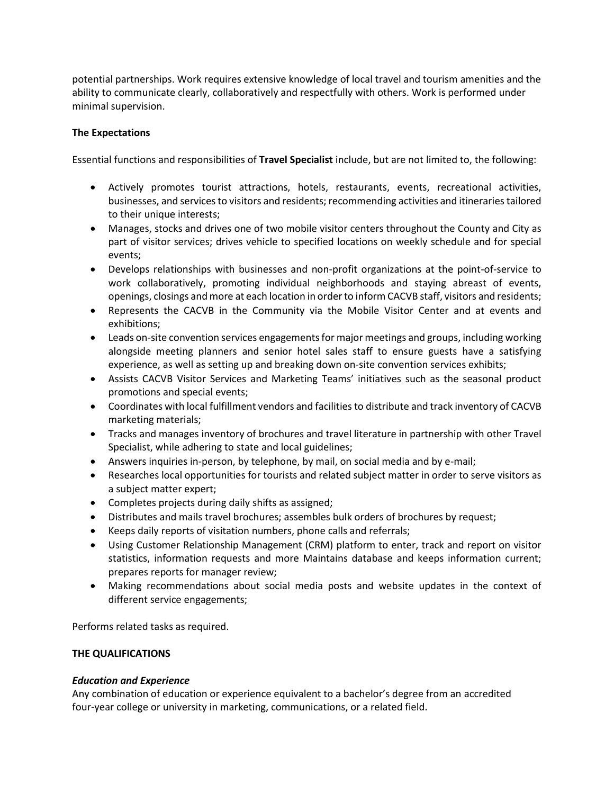potential partnerships. Work requires extensive knowledge of local travel and tourism amenities and the ability to communicate clearly, collaboratively and respectfully with others. Work is performed under minimal supervision.

## **The Expectations**

Essential functions and responsibilities of **Travel Specialist** include, but are not limited to, the following:

- Actively promotes tourist attractions, hotels, restaurants, events, recreational activities, businesses, and services to visitors and residents; recommending activities and itineraries tailored to their unique interests;
- Manages, stocks and drives one of two mobile visitor centers throughout the County and City as part of visitor services; drives vehicle to specified locations on weekly schedule and for special events;
- Develops relationships with businesses and non-profit organizations at the point-of-service to work collaboratively, promoting individual neighborhoods and staying abreast of events, openings, closings and more at each location in order to inform CACVB staff, visitors and residents;
- Represents the CACVB in the Community via the Mobile Visitor Center and at events and exhibitions;
- Leads on-site convention services engagements for major meetings and groups, including working alongside meeting planners and senior hotel sales staff to ensure guests have a satisfying experience, as well as setting up and breaking down on-site convention services exhibits;
- Assists CACVB Visitor Services and Marketing Teams' initiatives such as the seasonal product promotions and special events;
- Coordinates with local fulfillment vendors and facilities to distribute and track inventory of CACVB marketing materials;
- Tracks and manages inventory of brochures and travel literature in partnership with other Travel Specialist, while adhering to state and local guidelines;
- Answers inquiries in-person, by telephone, by mail, on social media and by e-mail;
- Researches local opportunities for tourists and related subject matter in order to serve visitors as a subject matter expert;
- Completes projects during daily shifts as assigned;
- Distributes and mails travel brochures; assembles bulk orders of brochures by request;
- Keeps daily reports of visitation numbers, phone calls and referrals;
- Using Customer Relationship Management (CRM) platform to enter, track and report on visitor statistics, information requests and more Maintains database and keeps information current; prepares reports for manager review;
- Making recommendations about social media posts and website updates in the context of different service engagements;

Performs related tasks as required.

### **THE QUALIFICATIONS**

### *Education and Experience*

Any combination of education or experience equivalent to a bachelor's degree from an accredited four-year college or university in marketing, communications, or a related field.